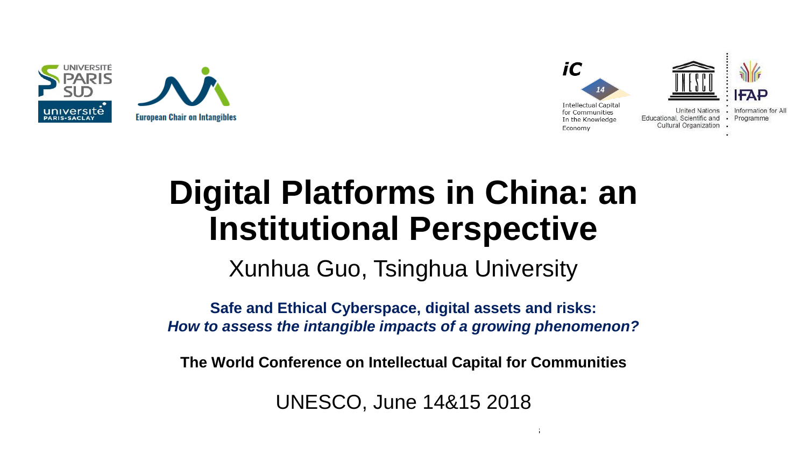



# **Digital Platforms in China: an Institutional Perspective**

Xunhua Guo, Tsinghua University

**Safe and Ethical Cyberspace, digital assets and risks:**  *How to assess the intangible impacts of a growing phenomenon?*

**The World Conference on Intellectual Capital for Communities**

UNESCO, June 14&15 2018

 $14\pm 15$ th June 2018 The World Conference on Intellectual Capital for Communities on Intellectual for Communities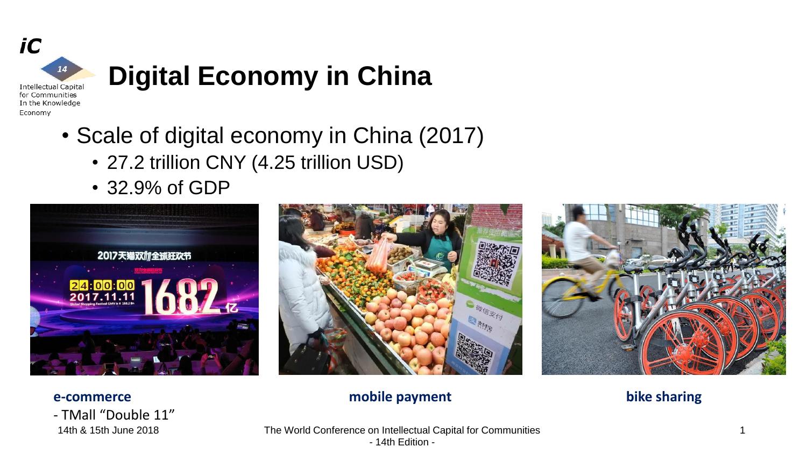

- In the Knowledge Economy
	- Scale of digital economy in China (2017)
		- 27.2 trillion CNY (4.25 trillion USD)
		- 32.9% of GDP







#### **mobile payment bike sharing**

### **e-commerce** - TMall "Double 11"

14th & 15th June 2018 The World Conference on Intellectual Capital for Communities - 14th Edition -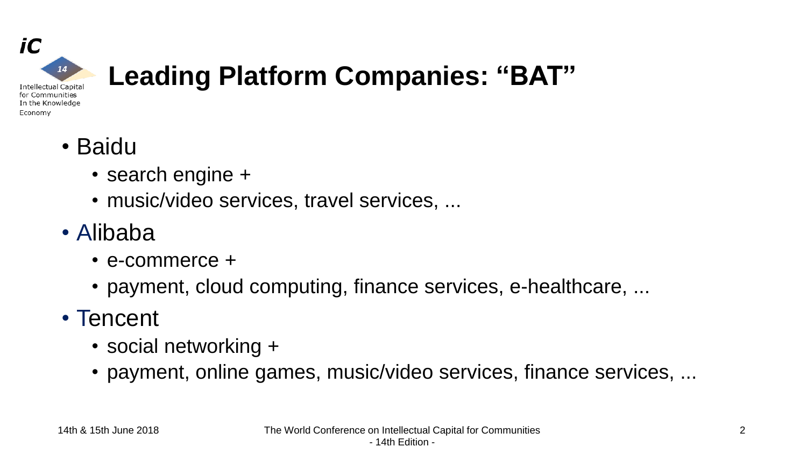

# **Leading Platform Companies: "BAT"**

- Baidu
	- search engine +
	- music/video services, travel services, ...
- Alibaba
	- e-commerce +
	- payment, cloud computing, finance services, e-healthcare, ...
- Tencent
	- social networking +
	- payment, online games, music/video services, finance services, ...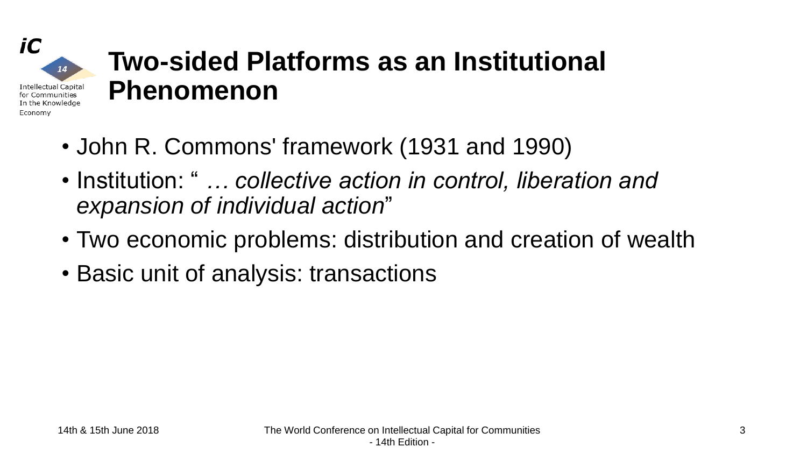

### **Two-sided Platforms as an Institutional Phenomenon**

- John R. Commons' framework (1931 and 1990)
- Institution: " *… collective action in control, liberation and expansion of individual action*"
- Two economic problems: distribution and creation of wealth
- Basic unit of analysis: transactions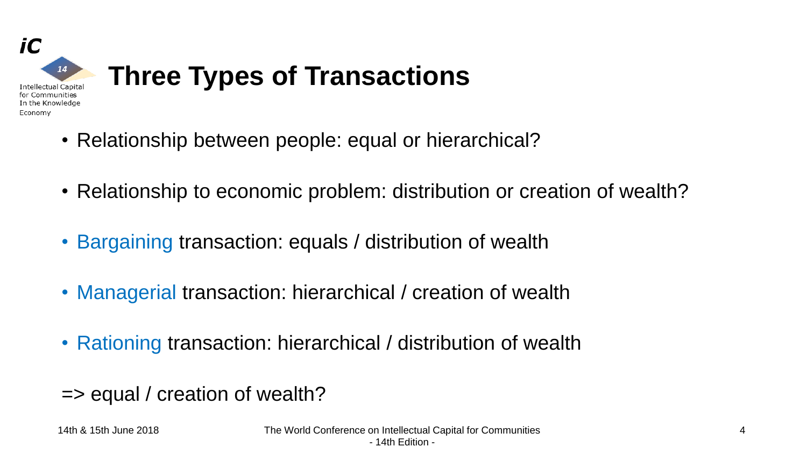

- Relationship between people: equal or hierarchical?
- Relationship to economic problem: distribution or creation of wealth?
- Bargaining transaction: equals / distribution of wealth
- Managerial transaction: hierarchical / creation of wealth
- Rationing transaction: hierarchical / distribution of wealth
- => equal / creation of wealth?

Economy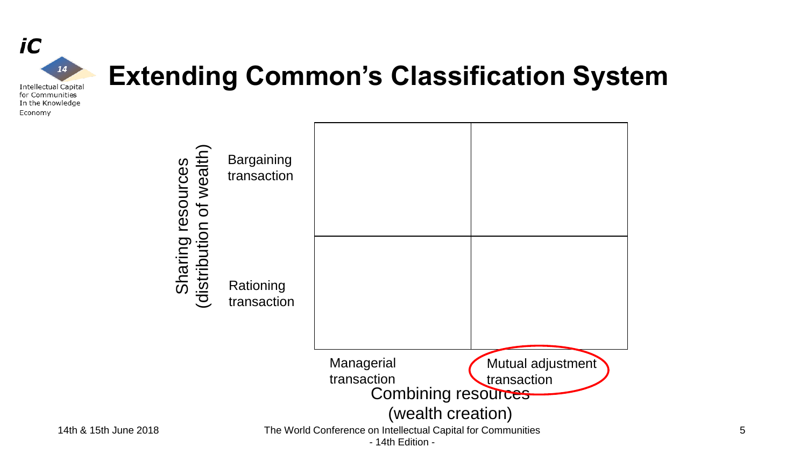

### **Extending Common's Classification System**

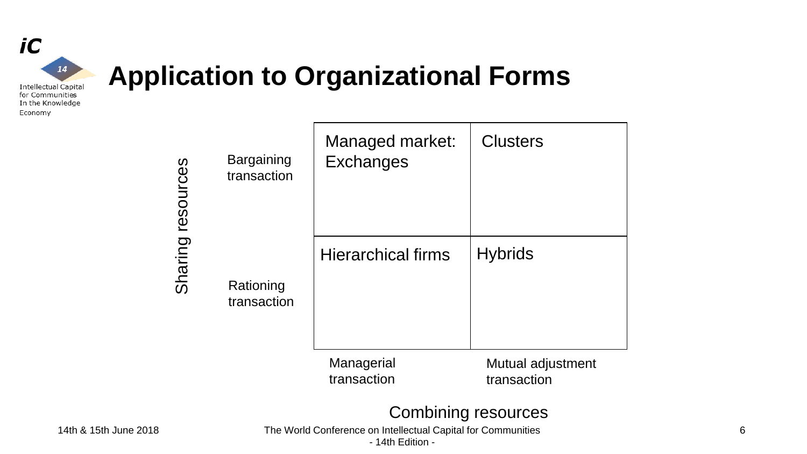

### **Application to Organizational Forms**

| resources<br>Sharing | <b>Bargaining</b><br>transaction | Managed market:<br>Exchanges | <b>Clusters</b>   |
|----------------------|----------------------------------|------------------------------|-------------------|
|                      | Rationing<br>transaction         | <b>Hierarchical firms</b>    | <b>Hybrids</b>    |
|                      |                                  | Managerial                   | Mutual adjustment |

#### Combining resources

transaction

14th & 15th June 2018 The World Conference on Intellectual Capital for Communities

transaction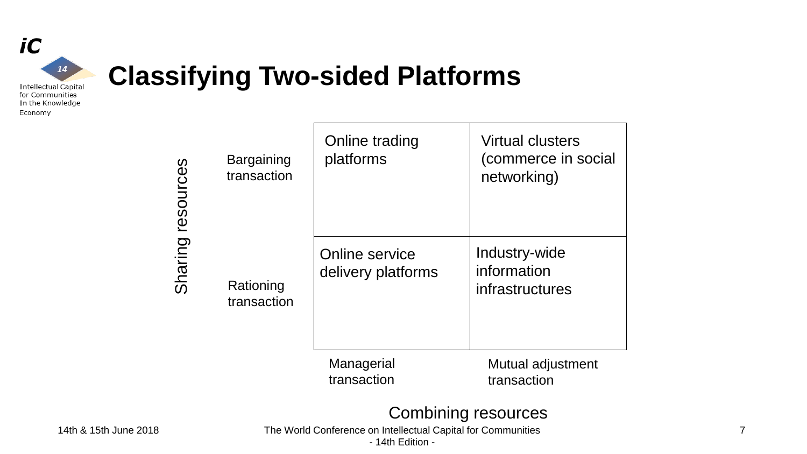

### **Classifying Two-sided Platforms**

**Bargaining** transaction Rationing transaction **Managerial** Online trading platforms Virtual clusters (commerce in social networking) Online service delivery platforms Industry-wide information infrastructures

transaction

Mutual adjustment transaction

#### Combining resources

Sharing resources

Sharing resources

14th & 15th June 2018 The World Conference on Intellectual Capital for Communities

- 14th Edition -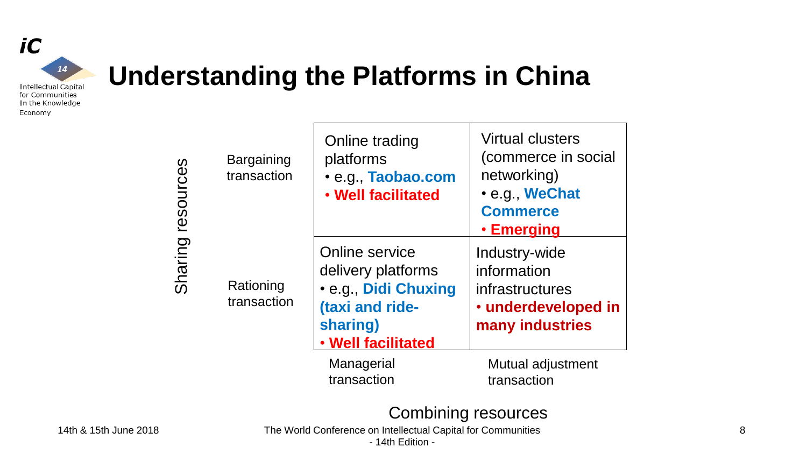

### **Understanding the Platforms in China**

| <b>Bargaining</b><br>transaction | Online trading<br>platforms<br>· e.g., Taobao.com<br>. Well facilitated                                           | <b>Virtual clusters</b><br>(commerce in social<br>networking)<br>. e.g., WeChat<br><b>Commerce</b><br><u>• Emerging</u> |
|----------------------------------|-------------------------------------------------------------------------------------------------------------------|-------------------------------------------------------------------------------------------------------------------------|
| Rationing<br>transaction         | Online service<br>delivery platforms<br>· e.g., Didi Chuxing<br>(taxi and ride-<br>sharing)<br>· Well facilitated | Industry-wide<br>information<br>infrastructures<br>• underdeveloped in<br>many industries                               |
|                                  | Managerial                                                                                                        | Mutual adjustmant                                                                                                       |

Managerial transaction

Mutual adjustment transaction

#### Combining resources

Sharing resources

Sharing resources

14th & 15th June 2018 The World Conference on Intellectual Capital for Communities

- 14th Edition -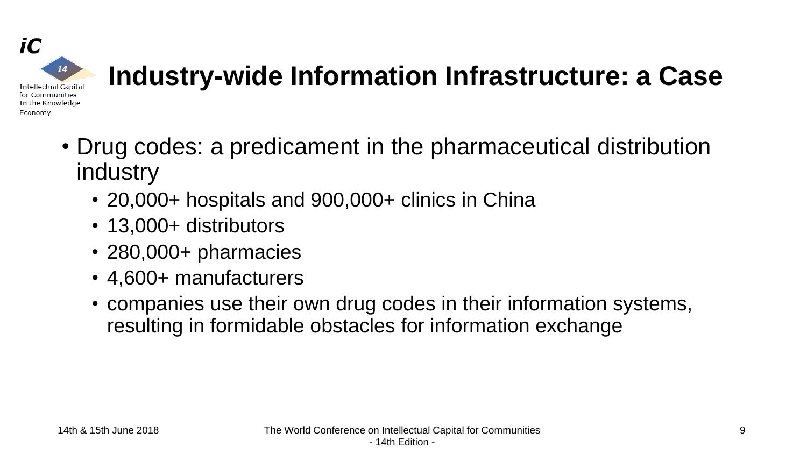

# **Industry-wide Information Infrastructure: a Case**

- Drug codes: a predicament in the pharmaceutical distribution industry
	- 20,000+ hospitals and 900,000+ clinics in China
	- 13,000+ distributors
	- 280,000+ pharmacies
	- 4,600+ manufacturers
	- companies use their own drug codes in their information systems, resulting in formidable obstacles for information exchange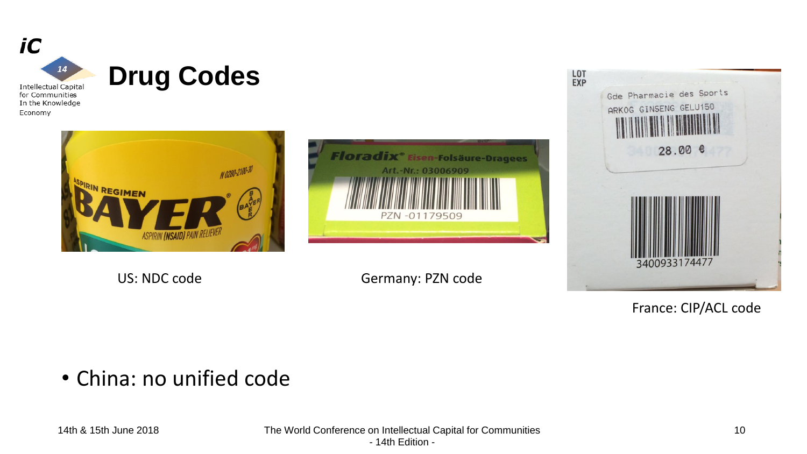

Economy





US: NDC code Germany: PZN code



France: CIP/ACL code

### • China: no unified code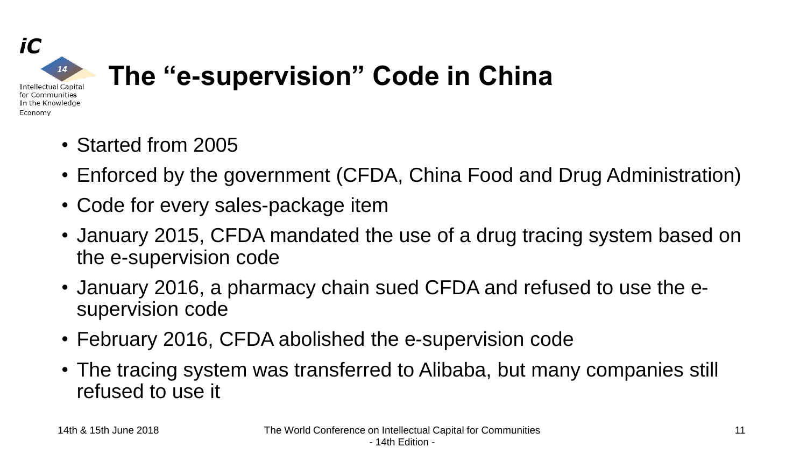

• Started from 2005

Economy

- Enforced by the government (CFDA, China Food and Drug Administration)
- Code for every sales-package item
- January 2015, CFDA mandated the use of a drug tracing system based on the e-supervision code
- January 2016, a pharmacy chain sued CFDA and refused to use the esupervision code
- February 2016, CFDA abolished the e-supervision code
- The tracing system was transferred to Alibaba, but many companies still refused to use it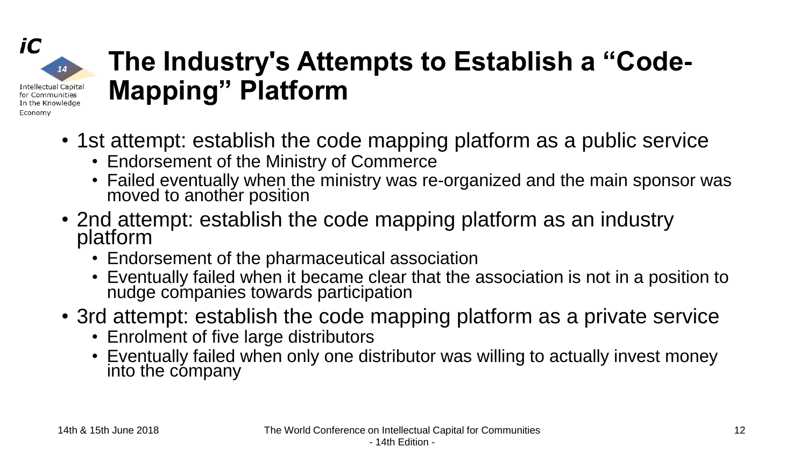## **The Industry's Attempts to Establish a "Code-Mapping" Platform**

- 1st attempt: establish the code mapping platform as a public service
	- Endorsement of the Ministry of Commerce
	- Failed eventually when the ministry was re-organized and the main sponsor was moved to anothér position
- 2nd attempt: establish the code mapping platform as an industry platform
	- Endorsement of the pharmaceutical association
	- Eventually failed when it became clear that the association is not in a position to nudge companies towards participation
- 3rd attempt: establish the code mapping platform as a private service
	- Enrolment of five large distributors
	- Eventually failed when only one distributor was willing to actually invest money into the company

iC

Economy

 $14$ 

**Intellectual Capital** for Communities In the Knowledge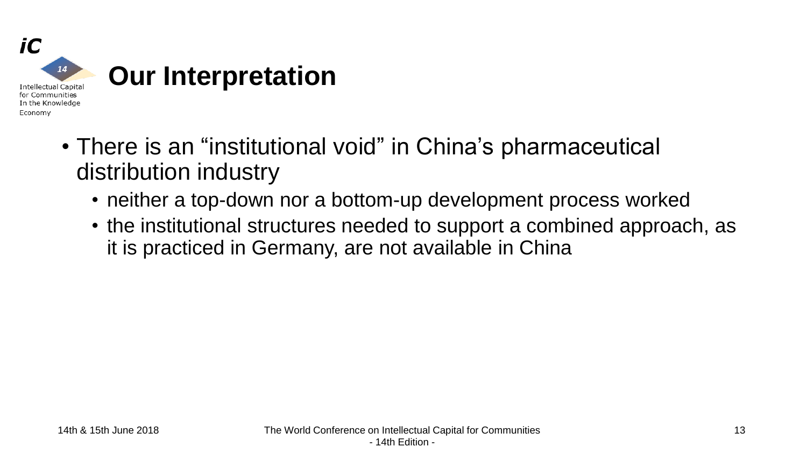

- There is an "institutional void" in China's pharmaceutical distribution industry
	- neither a top-down nor a bottom-up development process worked
	- the institutional structures needed to support a combined approach, as it is practiced in Germany, are not available in China